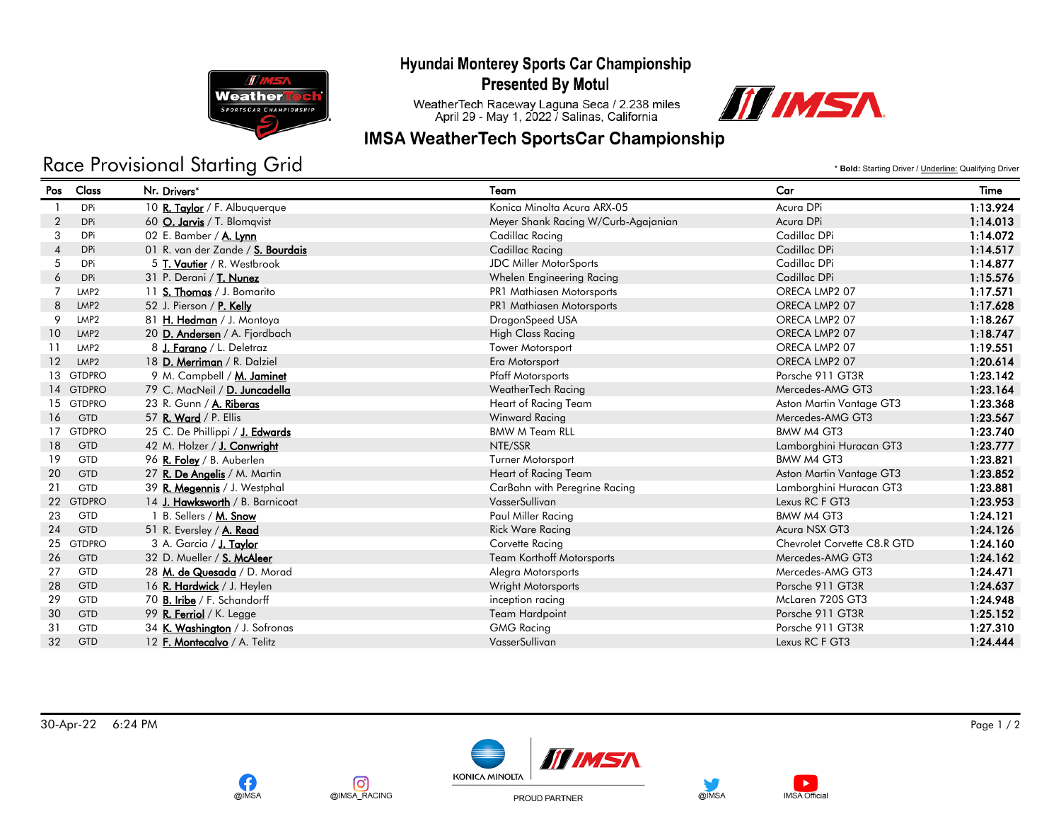Hyundai Monterey Sports Car Championship



**OIMSA** 

ര്ര

@IMSA\_RACING

**Presented By Motul** 

WeatherTech Raceway Laguna Seca / 2.238 miles<br>April 29 - May 1, 2022 / Salinas, California



## **IMSA WeatherTech SportsCar Championship**

## Race Provisional Starting Grid

\* **Bold:** Starting Driver / Underline: Qualifying Driver

| Pos               | Class            | Nr. Drivers*                      | Team                                | Car                         | Time     |
|-------------------|------------------|-----------------------------------|-------------------------------------|-----------------------------|----------|
|                   | <b>DPi</b>       | 10 R. Taylor / F. Albuquerque     | Konica Minolta Acura ARX-05         | Acura DPi                   | 1:13.924 |
| $\overline{2}$    | <b>DPi</b>       | 60 O. Jarvis / T. Blomqvist       | Meyer Shank Racing W/Curb-Agajanian | Acura DPi                   | 1:14.013 |
| 3                 | <b>DPi</b>       | 02 E. Bamber / $A$ . Lynn         | Cadillac Racing                     | Cadillac DPi                | 1:14.072 |
| $\overline{4}$    | <b>DPi</b>       | 01 R. van der Zande / S. Bourdais | Cadillac Racing                     | Cadillac DPi                | 1:14.517 |
| 5                 | <b>DPi</b>       | 5 T. Vautier / R. Westbrook       | JDC Miller MotorSports              | Cadillac DPi                | 1:14.877 |
| 6                 | <b>DPi</b>       | 31 P. Derani / T. Nunez           | Whelen Engineering Racing           | Cadillac DPi                | 1:15.576 |
| $\overline{7}$    | LMP <sub>2</sub> | 11 S. Thomas / J. Bomarito        | PR1 Mathiasen Motorsports           | ORECA LMP2 07               | 1:17.571 |
| 8                 | LMP <sub>2</sub> | 52 J. Pierson / P. Kelly          | PR1 Mathiasen Motorsports           | ORECA LMP2 07               | 1:17.628 |
| 9                 | LMP <sub>2</sub> | 81 H. Hedman / J. Montoya         | DragonSpeed USA                     | ORECA LMP2 07               | 1:18.267 |
| 10 <sup>°</sup>   | LMP <sub>2</sub> | 20 D. Andersen / A. Fjordbach     | <b>High Class Racing</b>            | ORECA LMP2 07               | 1:18.747 |
| 11                | LMP <sub>2</sub> | 8 J. Farano / L. Deletraz         | <b>Tower Motorsport</b>             | ORECA LMP2 07               | 1:19.551 |
| $12 \overline{ }$ | LMP <sub>2</sub> | 18 D. Merriman / R. Dalziel       | Era Motorsport                      | ORECA LMP2 07               | 1:20.614 |
|                   | 13 GTDPRO        | 9 M. Campbell / M. Jaminet        | <b>Pfaff Motorsports</b>            | Porsche 911 GT3R            | 1:23.142 |
|                   | 14 GTDPRO        | 79 C. MacNeil / D. Juncadella     | WeatherTech Racing                  | Mercedes-AMG GT3            | 1:23.164 |
|                   | 15 GTDPRO        | 23 R. Gunn / A. Riberas           | Heart of Racing Team                | Aston Martin Vantage GT3    | 1:23.368 |
| 16                | <b>GTD</b>       | 57 R. Ward / P. Ellis             | Winward Racing                      | Mercedes-AMG GT3            | 1:23.567 |
|                   | 17 GTDPRO        | 25 C. De Phillippi / J. Edwards   | <b>BMW M Team RLL</b>               | BMW M4 GT3                  | 1:23.740 |
| 18                | <b>GTD</b>       | 42 M. Holzer / J. Conwright       | NTE/SSR                             | Lamborghini Huracan GT3     | 1:23.777 |
| 19                | <b>GTD</b>       | 96 R. Foley / B. Auberlen         | Turner Motorsport                   | BMW M4 GT3                  | 1:23.821 |
| 20                | <b>GTD</b>       | 27 R. De Angelis / M. Martin      | Heart of Racing Team                | Aston Martin Vantage GT3    | 1:23.852 |
| 21                | <b>GTD</b>       | 39 R. Megennis / J. Westphal      | CarBahn with Peregrine Racing       | Lamborghini Huracan GT3     | 1:23.881 |
|                   | 22 GTDPRO        | 14 J. Hawksworth / B. Barnicoat   | VasserSullivan                      | Lexus RC F GT3              | 1:23.953 |
| 23                | <b>GTD</b>       | 1 B. Sellers / M. Snow            | Paul Miller Racing                  | BMW M4 GT3                  | 1:24.121 |
| 24                | <b>GTD</b>       | 51 R. Eversley / A. Read          | <b>Rick Ware Racing</b>             | Acura NSX GT3               | 1:24.126 |
| 25                | <b>GTDPRO</b>    | 3 A. Garcia / J. Taylor           | Corvette Racing                     | Chevrolet Corvette C8.R GTD | 1:24.160 |
| 26                | <b>GTD</b>       | 32 D. Mueller / S. McAleer        | <b>Team Korthoff Motorsports</b>    | Mercedes-AMG GT3            | 1:24.162 |
| 27                | <b>GTD</b>       | 28 M. de Quesada / D. Morad       | Alegra Motorsports                  | Mercedes-AMG GT3            | 1:24.471 |
| 28                | <b>GTD</b>       | 16 R. Hardwick / J. Heylen        | Wright Motorsports                  | Porsche 911 GT3R            | 1:24.637 |
| 29                | <b>GTD</b>       | 70 B. Iribe / F. Schandorff       | inception racing                    | McLaren 720S GT3            | 1:24.948 |
| 30                | <b>GTD</b>       | 99 R. Ferriol / K. Legge          | <b>Team Hardpoint</b>               | Porsche 911 GT3R            | 1:25.152 |
| 31                | <b>GTD</b>       | 34 K. Washington / J. Sofronas    | <b>GMG Racing</b>                   | Porsche 911 GT3R            | 1:27.310 |
| 32                | <b>GTD</b>       | 12 F. Montecalvo / A. Telitz      | VasserSullivan                      | Lexus RC F GT3              | 1:24.444 |
|                   |                  |                                   |                                     |                             |          |